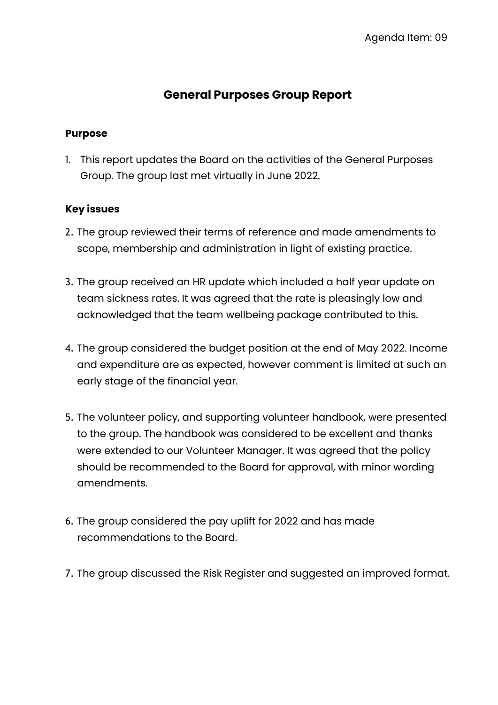## **General Purposes Group Report**

#### **Purpose**

1. This report updates the Board on the activities of the General Purposes Group. The group last met virtually in June 2022.

### **Key issues**

- 2. The group reviewed their terms of reference and made amendments to scope, membership and administration in light of existing practice.
- 3. The group received an HR update which included a half year update on team sickness rates. It was agreed that the rate is pleasingly low and acknowledged that the team wellbeing package contributed to this.
- 4. The group considered the budget position at the end of May 2022. Income and expenditure are as expected, however comment is limited at such an early stage of the financial year.
- 5. The volunteer policy, and supporting volunteer handbook, were presented to the group. The handbook was considered to be excellent and thanks were extended to our Volunteer Manager. It was agreed that the policy should be recommended to the Board for approval, with minor wording amendments.
- 6. The group considered the pay uplift for 2022 and has made recommendations to the Board.
- 7. The group discussed the Risk Register and suggested an improved format.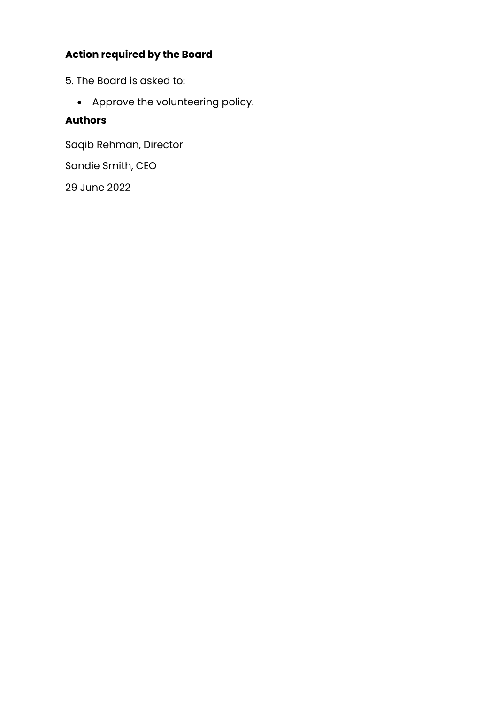# **Action required by the Board**

- 5. The Board is asked to:
	- Approve the volunteering policy.

### **Authors**

Saqib Rehman, Director

Sandie Smith, CEO

29 June 2022